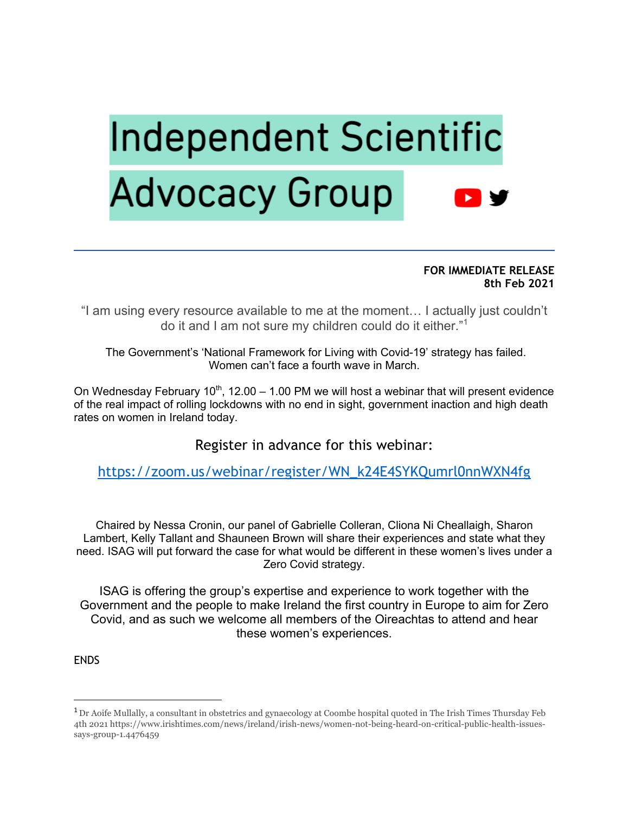# **Independent Scientific Advocacy Group**

**FOR IMMEDIATE RELEASE 8th Feb 2021**

"I am using every resource available to me at the moment… I actually just couldn't do it and I am not sure my children could do it either."<sup>1</sup>

The Government's 'National Framework for Living with Covid-19' strategy has failed. Women can't face a fourth wave in March.

On Wednesday February  $10<sup>th</sup>$ , 12.00 – 1.00 PM we will host a webinar that will present evidence of the real impact of rolling lockdowns with no end in sight, government inaction and high death rates on women in Ireland today.

Register in advance for this webinar:

https://zoom.us/webinar/register/WN\_k24E4SYKQumrl0nnWXN4fg

Chaired by Nessa Cronin, our panel of Gabrielle Colleran, Cliona Ni Cheallaigh, Sharon Lambert, Kelly Tallant and Shauneen Brown will share their experiences and state what they need. ISAG will put forward the case for what would be different in these women's lives under a Zero Covid strategy.

ISAG is offering the group's expertise and experience to work together with the Government and the people to make Ireland the first country in Europe to aim for Zero Covid, and as such we welcome all members of the Oireachtas to attend and hear these women's experiences.

**FNDS** 

<sup>&</sup>lt;sup>1</sup> Dr Aoife Mullally, a consultant in obstetrics and gynaecology at Coombe hospital quoted in The Irish Times Thursday Feb 4th 2021 https://www.irishtimes.com/news/ireland/irish-news/women-not-being-heard-on-critical-public-health-issuessays-group-1.4476459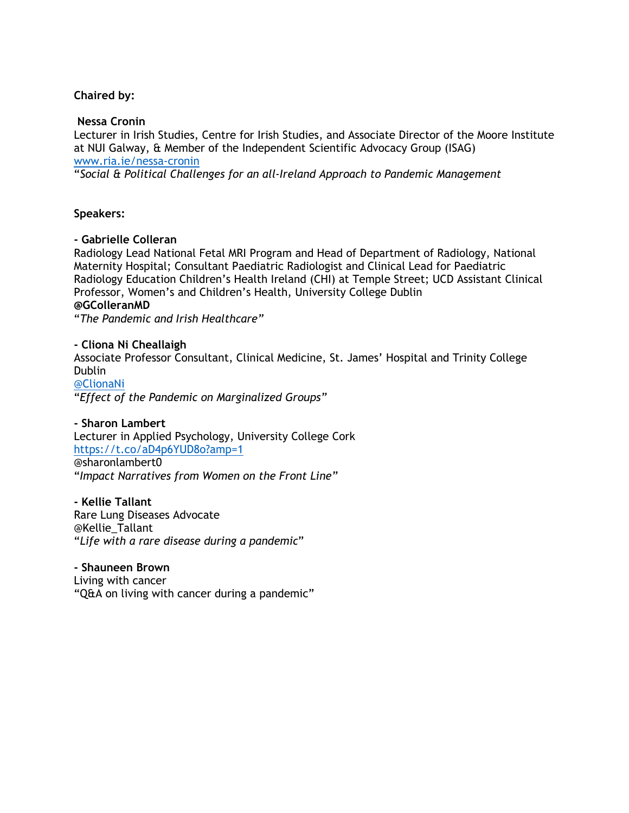## **Chaired by:**

#### **Nessa Cronin**

Lecturer in Irish Studies, Centre for Irish Studies, and Associate Director of the Moore Institute at NUI Galway, & Member of the Independent Scientific Advocacy Group (ISAG) www.ria.ie/nessa-cronin

"*Social & Political Challenges for an all-Ireland Approach to Pandemic Management*

## **Speakers:**

#### **- Gabrielle Colleran**

Radiology Lead National Fetal MRI Program and Head of Department of Radiology, National Maternity Hospital; Consultant Paediatric Radiologist and Clinical Lead for Paediatric Radiology Education Children's Health Ireland (CHI) at Temple Street; UCD Assistant Clinical Professor, Women's and Children's Health, University College Dublin **@GColleranMD** 

"*The Pandemic and Irish Healthcare"*

**- Cliona Ni Cheallaigh**  Associate Professor Consultant, Clinical Medicine, St. James' Hospital and Trinity College Dublin @ClionaNi "*Effect of the Pandemic on Marginalized Groups"*

**- Sharon Lambert** Lecturer in Applied Psychology, University College Cork https://t.co/aD4p6YUD8o?amp=1 @sharonlambert0 "*Impact Narratives from Women on the Front Line"*

**- Kellie Tallant** Rare Lung Diseases Advocate @Kellie\_Tallant "*Life with a rare disease during a pandemic*"

#### **- Shauneen Brown**

Living with cancer "Q&A on living with cancer during a pandemic"